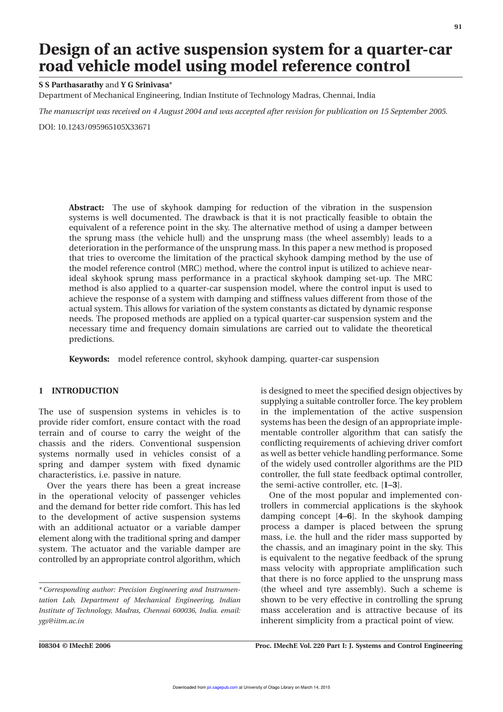## **Design of an active suspension system for a quarter-car road vehicle model using model reference control**

**S S Parthasarathy** and **Y G Srinivasa**\*

Department of Mechanical Engineering, Indian Institute of Technology Madras, Chennai, India

*The manuscript was received on 4 August 2004 and was accepted after revision for publication on 15 September 2005.*

DOI: 10.1243/095965105X33671

**Abstract:** The use of skyhook damping for reduction of the vibration in the suspension systems is well documented. The drawback is that it is not practically feasible to obtain the equivalent of a reference point in the sky. The alternative method of using a damper between the sprung mass (the vehicle hull) and the unsprung mass (the wheel assembly) leads to a deterioration in the performance of the unsprung mass. In this paper a new method is proposed that tries to overcome the limitation of the practical skyhook damping method by the use of the model reference control (MRC) method, where the control input is utilized to achieve nearideal skyhook sprung mass performance in a practical skyhook damping set-up. The MRC method is also applied to a quarter-car suspension model, where the control input is used to achieve the response of a system with damping and stiffness values different from those of the actual system. This allows for variation of the system constants as dictated by dynamic response needs. The proposed methods are applied on a typical quarter-car suspension system and the necessary time and frequency domain simulations are carried out to validate the theoretical predictions.

**Keywords:** model reference control, skyhook damping, quarter-car suspension

provide rider comfort, ensure contact with the road systems has been the design of an appropriate impleterrain and of course to carry the weight of the mentable controller algorithm that can satisfy the chassis and the riders. Conventional suspension conflicting requirements of achieving driver comfort systems normally used in vehicles consist of a as well as better vehicle handling performance. Some spring and damper system with fixed dynamic of the widely used controller algorithms are the PID

Over the years there has been a great increase in the operational velocity of passenger vehicles One of the most popular and implemented con-<br>and the demand for better ride comfort. This has led trollers in commercial applications is the skyhook and the demand for better ride comfort. This has led to the development of active suspension systems damping concept [**4–6**]. In the skyhook damping with an additional actuator or a variable damper process a damper is placed between the sprung element along with the traditional spring and damper mass, i.e. the hull and the rider mass supported by element along with the traditional spring and damper system. The actuator and the variable damper are the chassis, and an imaginary point in the sky. This controlled by an appropriate control algorithm, which is equivalent to the negative feedback of the sprung controlled by an appropriate control algorithm, which

**1 INTRODUCTION** is designed to meet the specified design objectives by supplying a suitable controller force. The key problem The use of suspension systems in vehicles is to in the implementation of the active suspension characteristics, i.e. passive in nature. controller, the full state feedback optimal controller,<br>Over the vears there has been a great increase the semi-active controller, etc. [1–3].

mass velocity with appropriate amplification such that there is no force applied to the unsprung mass *\* Corresponding author: Precision Engineering and Instrumen-* (the wheel and tyre assembly). Such a scheme is *tation Lab, Department of Mechanical Engineering, Indian* shown to be very effective in controlling the sprung

*Institute of Technology, Madras, Chennai 600036, India. email:* mass acceleration and is attractive because of its *ygs@iitm.ac.in* inherent simplicity from a practical point of view.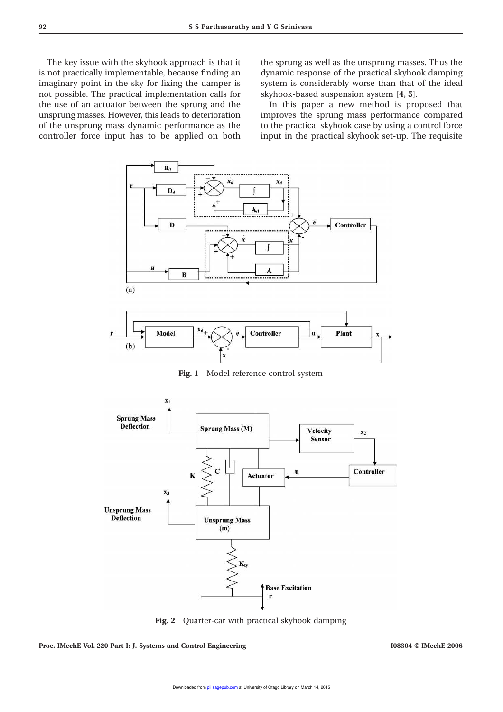not possible. The practical implementation calls for skyhook-based suspension system [**4**, **5**]. the use of an actuator between the sprung and the In this paper a new method is proposed that

The key issue with the skyhook approach is that it the sprung as well as the unsprung masses. Thus the is not practically implementable, because finding an dynamic response of the practical skyhook damping imaginary point in the sky for fixing the damper is system is considerably worse than that of the ideal

unsprung masses. However, this leads to deterioration improves the sprung mass performance compared of the unsprung mass dynamic performance as the to the practical skyhook case by using a control force controller force input has to be applied on both input in the practical skyhook set-up. The requisite



**Fig. 1** Model reference control system



**Fig. 2** Quarter-car with practical skyhook damping

**Proc. IMechE Vol. 220 Part I: J. Systems and Control Engineering I08304 © IMechE 2006**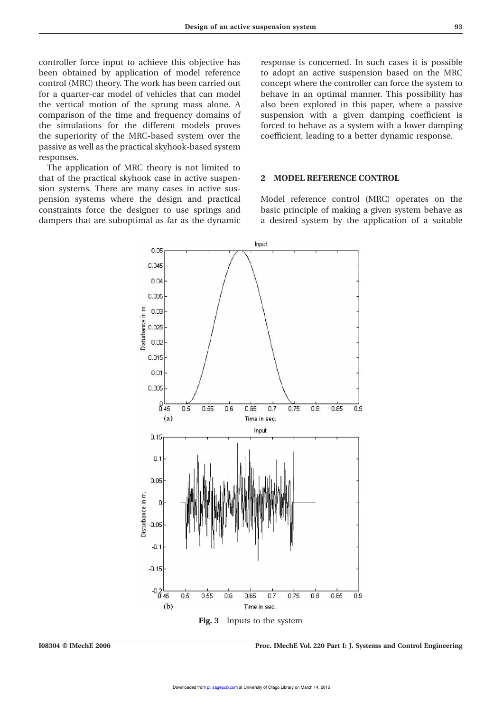controller force input to achieve this objective has response is concerned. In such cases it is possible been obtained by application of model reference to adopt an active suspension based on the MRC control (MRC) theory. The work has been carried out concept where the controller can force the system to for a quarter-car model of vehicles that can model behave in an optimal manner. This possibility has the vertical motion of the sprung mass alone. A also been explored in this paper, where a passive comparison of the time and frequency domains of suspension with a given damping coefficient is the simulations for the different models proves forced to behave as a system with a lower damping the superiority of the MRC-based system over the coefficient, leading to a better dynamic response. passive as well as the practical skyhook-based system responses.

The application of MRC theory is not limited to that of the practical skyhook case in active suspen- **2 MODEL REFERENCE CONTROL** sion systems. There are many cases in active suspension systems where the design and practical Model reference control (MRC) operates on the

constraints force the designer to use springs and basic principle of making a given system behave as dampers that are suboptimal as far as the dynamic a desired system by the application of a suitable

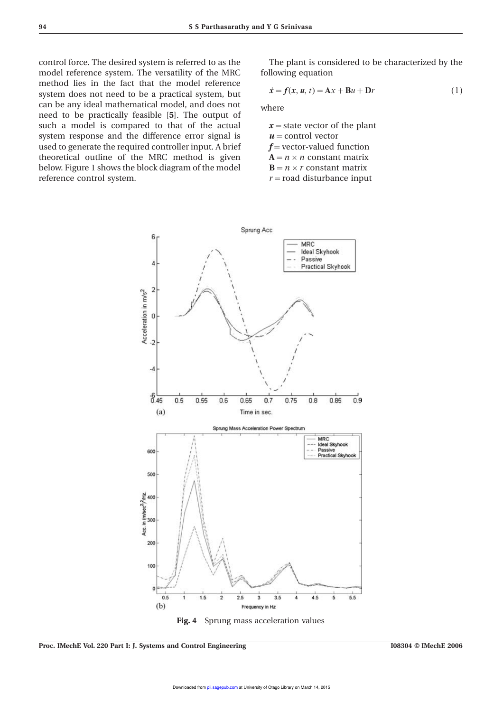control force. The desired system is referred to as the The plant is considered to be characterized by the model reference system. The versatility of the MRC following equation method lies in the fact that the model reference *x*ystem does not need to be a practical system, but can be any ideal mathematical model, and does not where need to be practically feasible [**5**]. The output of such a model is compared to that of the actual  $x =$ state vector of the plant system response and the difference error signal is  $u =$  control vector used to generate the required controller input. A brief *f*=vector-valued function theoretical outline of the MRC method is given  $A = n \times n$  constant matrix below. Figure 1 shows the block diagram of the model  $\mathbf{B} = n \times r$  constant matrix reference control system. *r*=road disturbance input

$$
\dot{\mathbf{r}} = f(\mathbf{x}, \mathbf{u}, t) = \mathbf{A}\mathbf{x} + \mathbf{B}\mathbf{u} + \mathbf{D}r \tag{1}
$$



**Fig. 4** Sprung mass acceleration values

**Proc. IMechE Vol. 220 Part I: J. Systems and Control Engineering I08304 © IMechE 2006**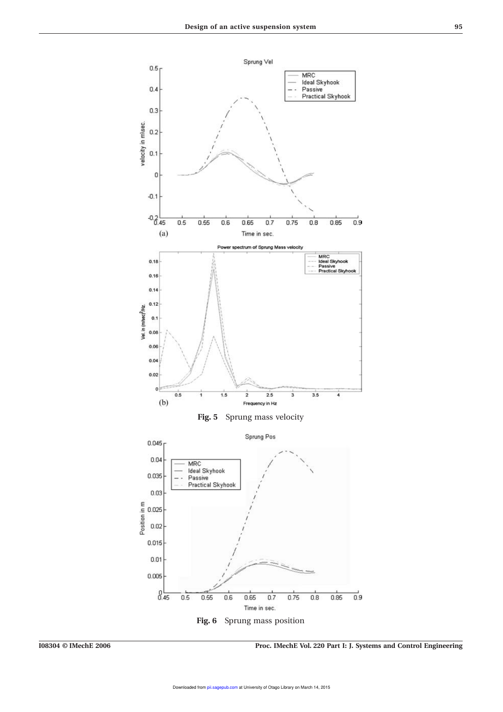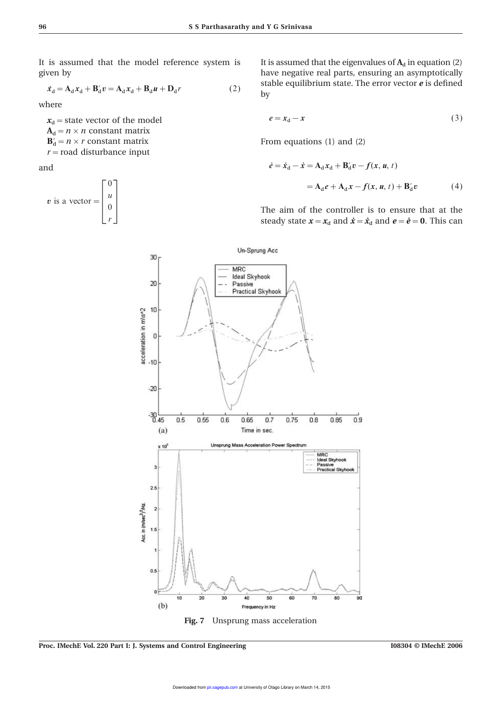It is assumed that the model reference system is

$$
\dot{x}_{d} = A_{d}x_{d} + B'_{d}v = A_{d}x_{d} + B_{d}u + D_{d}v
$$
 (2)

where

 $A_d = n \times n$  constant matrix  $\mathbf{B}'_{d}$ *r*=road disturbance input

v is a vector =  $\begin{bmatrix} u \\ 0 \\ v \end{bmatrix}$  $\boldsymbol{0}$ *u*  $\begin{bmatrix} 0 \\ r \end{bmatrix}$ 

 $_{d}$  in equation (2) given by have negative real parts, ensuring an asymptotically stable equilibrium state. The error vector *e* is defined

$$
x_{d} = \text{state vector of the model} \qquad e = x_{d} - x \tag{3}
$$

From equations (1) and (2)

and  
\n
$$
\dot{e} = \dot{x}_d - \dot{x} = A_d x_d + B'_d v - f(x, u, t)
$$
\n
$$
= A_d e + A_d x - f(x, u, t) + B'_d v \tag{4}
$$

The aim of the controller is to ensure that at the steady state  $x = x_d$  and  $\dot{x} = \dot{x}_d$  and  $e = \dot{e} = 0$ . This can



**Proc. IMechE Vol. 220 Part I: J. Systems and Control Engineering I08304 © IMechE 2006**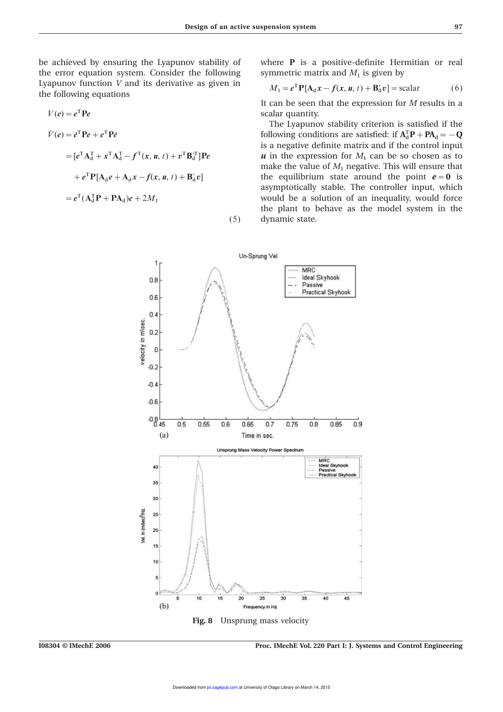be achieved by ensuring the Lyapunov stability of where **P** is a positive-definite Hermitian or real the error equation system. Consider the following Lyapunov function *V* and its derivative as given in  $M_1 = e^T P[A_d x - f(x, u, t) + B'_d v] = \text{scalar}$  (6) the following equations

$$
V(e) = e^{\mathrm{T}} \mathbf{P}e
$$
  
\n
$$
\dot{V}(e) = e^{\mathrm{T}} \mathbf{P}e + e^{\mathrm{T}} \mathbf{P}e
$$
  
\n
$$
= [e^{\mathrm{T}} \mathbf{A}_d^{\mathrm{T}} + x^{\mathrm{T}} \mathbf{A}_d^{\mathrm{T}} - f^{\mathrm{T}}(x, u, t) + v^{\mathrm{T}} \mathbf{B}_d^{\mathrm{T}}] \mathbf{P}e
$$
  
\n
$$
+ e^{\mathrm{T}} \mathbf{P} [\mathbf{A}_d e + \mathbf{A}_d x - f(x, u, t) + \mathbf{B}_d^{\mathrm{T}} v]
$$
  
\n
$$
= e^{\mathrm{T}} (\mathbf{A}_d^{\mathrm{T}} \mathbf{P} + \mathbf{P} \mathbf{A}_d) e + 2M_1
$$

symmetric matrix and  $M<sub>1</sub>$  is given by

$$
M_1 = e^{\mathrm{T}} \mathbf{P} [\mathbf{A}_d \mathbf{x} - f(\mathbf{x}, \mathbf{u}, t) + \mathbf{B}_d' \mathbf{v}] = \text{scalar}
$$
 (6)

It can be seen that the expression for *M* results in a  $\theta$  scalar quantity.

The Lyapunov stability criterion is satisfied if the  $\dot{V}(e) = e^{\text{T}} \mathbf{P}e + e^{\text{T}} \mathbf{P}e$  following conditions are satisfied: if  $\mathbf{A}_{d}^{\text{T}} \mathbf{P} + \mathbf{P} \mathbf{A}_{d} = -\mathbf{Q}$ is a negative definite matrix and if the control input  $=$  $[e^T A_d^T + x^T A_d^T - f^T(x, u, t) + v^T B_d^T]$ **Pe** *u* in the expression for *M*<sub>1</sub> can be so chosen as to make the value of  $M_1$  negative. This will ensure that the equilibrium state around the point  $e = 0$  is asymptotically stable. The controller input, which would be a solution of an inequality, would force the plant to behave as the model system in the (5) dynamic state.

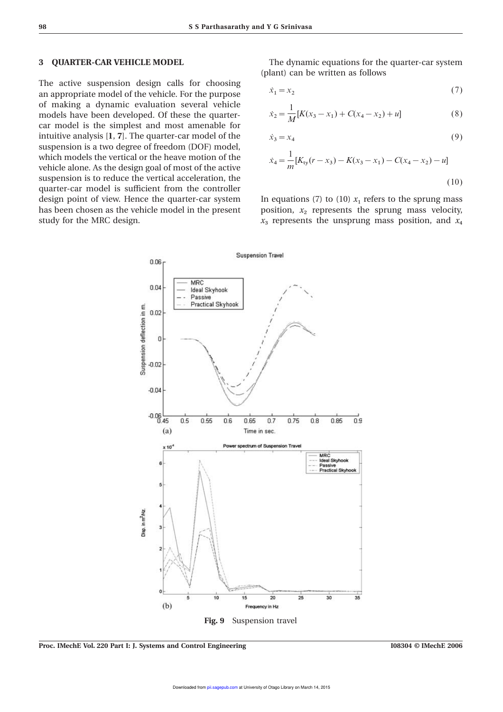The active suspension design calls for choosing an appropriate model of the vehicle. For the purpose of making a dynamic evaluation several vehicle models have been developed. Of these the quartercar model is the simplest and most amenable for intuitive analysis [**1**, **7**]. The quarter-car model of the *x˙* suspension is a two degree of freedom (DOF) model, which models the vertical or the heave motion of the vehicle alone. As the design goal of most of the active suspension is to reduce the vertical acceleration, the  $(10)$ quarter-car model is sufficient from the controller design point of view. Hence the quarter-car system study for the MRC design.

**3 QUARTER-CAR VEHICLE MODEL** The dynamic equations for the quarter-car system (plant) can be written as follows

$$
\dot{x}_1 = x_2 \tag{7}
$$

$$
\dot{x}_2 = \frac{1}{M} [K(x_3 - x_1) + C(x_4 - x_2) + u]
$$
\n(8)

$$
\dot{x}_3 = x_4 \tag{9}
$$

$$
\dot{x}_4 = \frac{1}{m} [K_{\text{ty}}(r - x_3) - K(x_3 - x_1) - C(x_4 - x_2) - u]
$$
\n(10)

 $_1$  refers to the sprung mass has been chosen as the vehicle model in the present represents the sprung mass velocity,  $x_3$  represents the unsprung mass position, and  $x_4$ 



**Proc. IMechE Vol. 220 Part I: J. Systems and Control Engineering I08304 © IMechE 2006**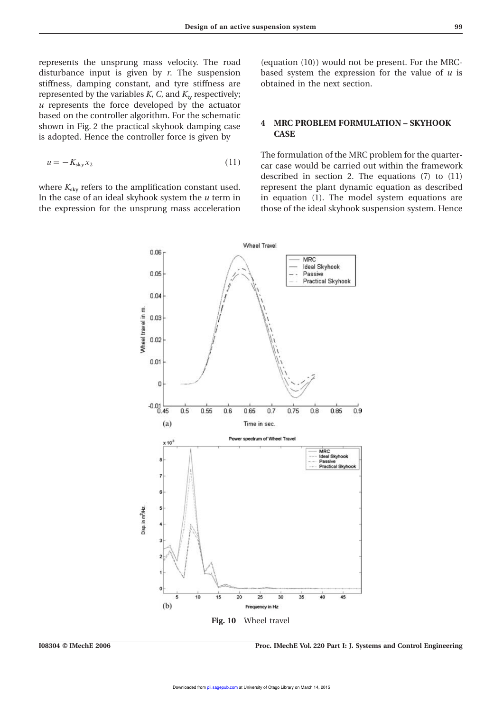represents the unsprung mass velocity. The road (equation (10)) would not be present. For the MRCstiffness, damping constant, and tyre stiffness are obtained in the next section. represented by the variables  $K$ ,  $C$ , and  $K_{\text{ty}}$  respectively; *u* represents the force developed by the actuator based on the controller algorithm. For the schematic shown in Fig. 2 the practical skyhook damping case  $\frac{4 \text{ MRC} \text{ PROBLEM FORMULATION} - \text{SKYHOOK}}{\text{CASE}}$ is adopted. Hence the controller force is given by

$$
u = -K_{\rm sky} x_2 \tag{11}
$$

where  $K_{\text{sky}}$  refers to the amplification constant used. where  $K_{sky}$  refers to the amplification constant used. represent the plant dynamic equation as described In the case of an ideal skyhook system the  $u$  term in in equation (1). The model system equations are the expression for the unsprung mass acceleration those of the ideal skyhook suspension system. Hence

disturbance input is given by  $r$ . The suspension based system the expression for the value of  $u$  is

The formulation of the MRC problem for the quartercar case would be carried out within the framework described in section 2. The equations (7) to (11) in equation (1). The model system equations are



**I08304 © IMechE 2006 Proc. IMechE Vol. 220 Part I: J. Systems and Control Engineering**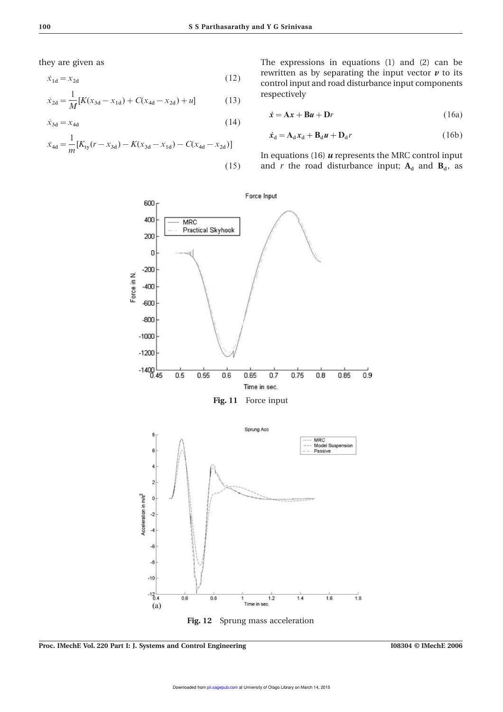$$
\dot{x}_{1d} = x_{2d} \tag{12}
$$

$$
\dot{x}_{2d} = \frac{1}{M} [K(x_{3d} - x_{1d}) + C(x_{4d} - x_{2d}) + u]
$$
(13)

$$
\dot{x}_{3d} = x_{4d} \tag{14}
$$

$$
\dot{x}_{4d} = \frac{1}{m} [K_{\text{ty}}(r - x_{3d}) - K(x_{3d} - x_{1d}) - C(x_{4d} - x_{2d})]
$$

they are given as The expressions in equations (1) and (2) can be rewritten as by separating the input vector  $v$  to its control input and road disturbance input components respectively

$$
\dot{x} = Ax + Bu + Dr \tag{16a}
$$

$$
\dot{x}_{d} = A_{d}x_{d} + B_{d}u + D_{d}r
$$
\n(16b)

In equations (16) *u* represents the MRC control input (15) and *r* the road disturbance input;  $A_d$  and  $B_d$ , as



**Fig. 12** Sprung mass acceleration



*x˙*  $\overline{\phantom{0}}$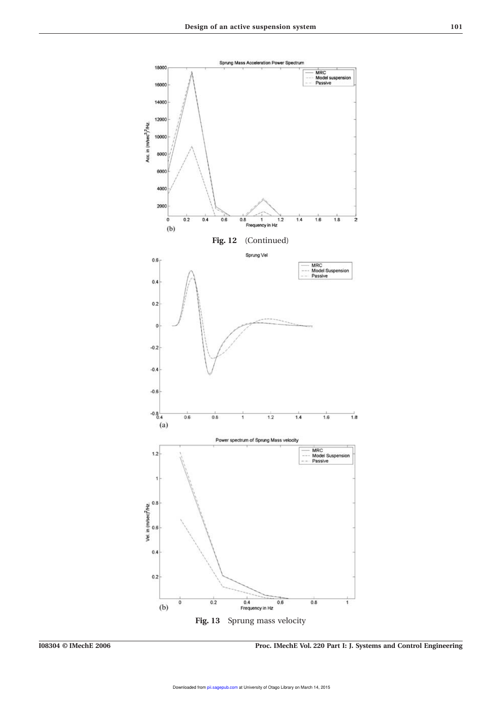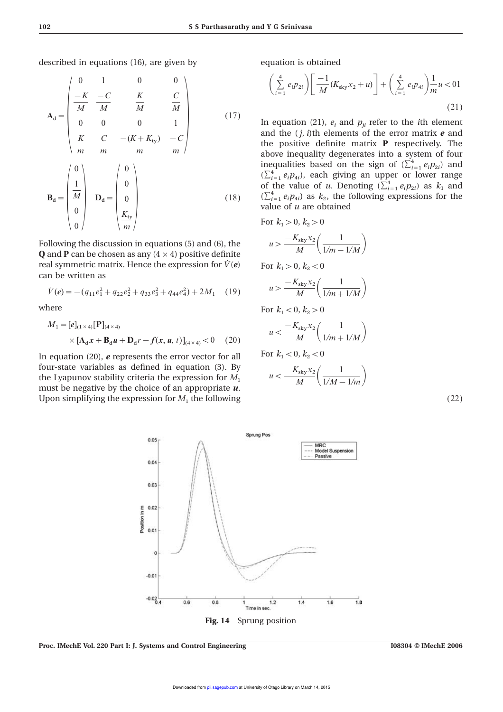described in equations (16), are given by equation is obtained

$$
\mathbf{A}_{\mathbf{d}} = \begin{pmatrix} 0 & 1 & 0 & 0 \\ \frac{-K}{M} & \frac{-C}{M} & \frac{K}{M} & \frac{C}{M} \\ 0 & 0 & 0 & 1 \\ \frac{K}{m} & \frac{C}{m} & \frac{-(K+K_{\mathbf{t}y})}{m} & \frac{-C}{m} \end{pmatrix}
$$
(17)

$$
\mathbf{B}_{\mathbf{d}} = \begin{pmatrix} 0 \\ \frac{1}{M} \\ 0 \\ 0 \end{pmatrix} \quad \mathbf{D}_{\mathbf{d}} = \begin{pmatrix} 0 \\ 0 \\ 0 \\ \frac{K_{\mathbf{t}\mathbf{y}}}{m} \end{pmatrix} \tag{18}
$$

Following the discussion in equations (5) and (6), the **Q** and **P** can be chosen as any  $(4 \times 4)$  positive definite real symmetric matrix. Hence the expression for  $\dot{V}(e)$ can be written as

$$
\dot{V}(e) = -(q_{11}e_1^2 + q_{22}e_2^2 + q_{33}e_3^2 + q_{44}e_4^2) + 2M_1 \quad (19) \qquad u > \frac{-K_{\text{sky}}x_2}{M} \left(\frac{1}{1/m + 1/M}\right)
$$

where For *k* For *k* For *k* 

$$
M_1 = [e]_{(1 \times 4)} [P]_{(4 \times 4)}
$$
  
 
$$
\times [A_d x + B_d u + D_d r - f(x, u, t)]_{(4 \times 4)} < 0 \quad (20)
$$
  
 
$$
u < \frac{-K_{\text{sky}} x_2}{M} \left( \frac{1}{1/m + 1/M} \right)
$$

In equation (20),  $e$  represents the error vector for all four-state variables as defined in equation (3). By the Lyapunov stability criteria the expression for  $M_1$  must be negative by the choice of an appropriate  $\boldsymbol{u}$ . Upon simplifying the expression for  $M_1$  the following (22)

$$
\left(\sum_{i=1}^{4} e_{i} p_{2i}\right) \left[\frac{-1}{M} (K_{\text{sky}} x_{2} + u)\right] + \left(\sum_{i=1}^{4} e_{i} p_{4i}\right) \frac{1}{m} u < 01
$$
\n(21)

In equation (21),  $e_i$  and  $p_{ji}$  refer to the *i*th element and the ( *j, i*)th elements of the error matrix *e* and the positive definite matrix **P** respectively. The above inequality degenerates into a system of four inequalities based on the sign of  $(\sum_{i=1}^{4} e_i p_{2i})$  and  $(\sum_{i=1}^{4} e_i p_{4i})$ , each giving an upper or lower range of the value of *u*. Denoting  $(\sum_{i=1}^{4} e_i p_{2i})$  as  $k_1$  and  $\mathbf{B}_d = \begin{bmatrix} \overline{M} \\ \overline{D}_d \end{bmatrix}$  **b**<sub>d</sub> = 0 (18)  $(\sum_{i=1}^4 e_i p_{4i})$  as  $k_2$ , the following expressions for the value of *u* are obtained

For 
$$
k_1 > 0
$$
,  $k_2 > 0$   
\n
$$
u > \frac{-K_{\text{sky}} x_2}{M} \left( \frac{1}{1/m - 1/M} \right)
$$
\nFor  $k_1 > 0$ ,  $k_2 < 0$ 

$$
u>\frac{-K_{\rm sky}x_2}{M}\bigg(\frac{1}{1/m+1/M}\bigg)
$$

$$
\begin{aligned} &\text{for } k_1 < 0, \, k_2 > 0\\ & u < \frac{-K_{\text{sky}} x_2}{M} \bigg( \frac{1}{1/m + 1/M} \bigg) \end{aligned}
$$

For 
$$
k_1 < 0
$$
,  $k_2 < 0$   
\n
$$
u < \frac{-K_{\text{sky}}x_2}{M} \left( \frac{1}{1/M - 1/m} \right)
$$



**Proc. IMechE Vol. 220 Part I: J. Systems and Control Engineering I08304 © IMechE 2006**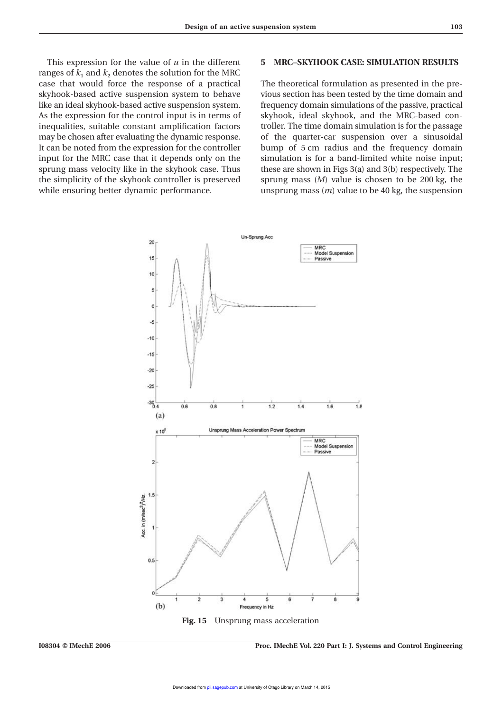This expression for the value of *u* in the different **5 MRC–SKYHOOK CASE: SIMULATION RESULTS** ranges of  $k_1$  and  $k_2$  denotes the solution for the MRC case that would force the response of a practical The theoretical formulation as presented in the preskyhook-based active suspension system to behave vious section has been tested by the time domain and like an ideal skyhook-based active suspension system. frequency domain simulations of the passive, practical As the expression for the control input is in terms of skyhook, ideal skyhook, and the MRC-based coninequalities, suitable constant amplification factors troller. The time domain simulation is for the passage may be chosen after evaluating the dynamic response. of the quarter-car suspension over a sinusoidal It can be noted from the expression for the controller bump of 5 cm radius and the frequency domain input for the MRC case that it depends only on the simulation is for a band-limited white noise input; sprung mass velocity like in the skyhook case. Thus these are shown in Figs 3(a) and 3(b) respectively. The the simplicity of the skyhook controller is preserved sprung mass (*M*) value is chosen to be 200 kg, the while ensuring better dynamic performance. unsprung mass (*m*) value to be 40 kg, the suspension

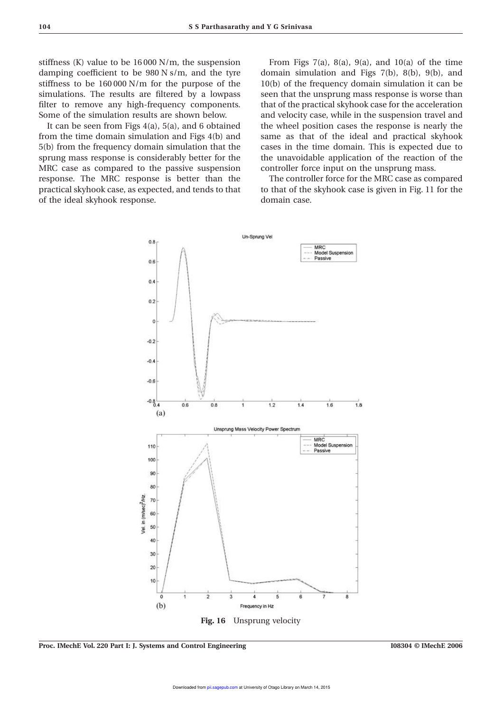damping coefficient to be 980 N s/m, and the tyre domain simulation and Figs 7(b), 8(b), 9(b), and stiffness to be 160 000 N/m for the purpose of the 10(b) of the frequency domain simulation it can be simulations. The results are filtered by a lowpass seen that the unsprung mass response is worse than filter to remove any high-frequency components. that of the practical skyhook case for the acceleration

from the time domain simulation and Figs 4(b) and same as that of the ideal and practical skyhook 5(b) from the frequency domain simulation that the cases in the time domain. This is expected due to sprung mass response is considerably better for the the unavoidable application of the reaction of the MRC case as compared to the passive suspension controller force input on the unsprung mass. response. The MRC response is better than the The controller force for the MRC case as compared practical skyhook case, as expected, and tends to that to that of the skyhook case is given in Fig. 11 for the of the ideal skyhook response. domain case.

stiffness (K) value to be  $16000 \text{ N/m}$ , the suspension From Figs 7(a), 8(a), 9(a), and 10(a) of the time Some of the simulation results are shown below. and velocity case, while in the suspension travel and It can be seen from Figs 4(a), 5(a), and 6 obtained the wheel position cases the response is nearly the



**Proc. IMechE Vol. 220 Part I: J. Systems and Control Engineering I08304 © IMechE 2006**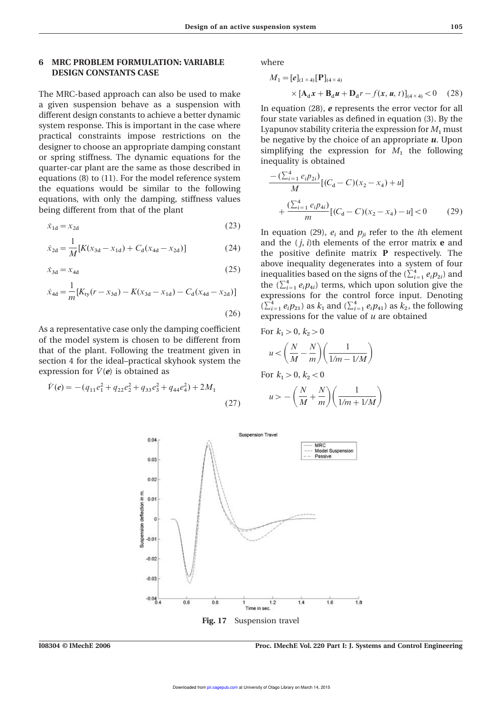## **6 MRC PROBLEM FORMULATION: VARIABLE** where **DESIGN CONSTANTS CASE**

*rhe MRC-based approach can also be used to make a given suspension behave as a suspension with* different design constants to achieve a better dynamic<br>system response. This is important in the case where<br>I required to the different in equation (3). By the system response. This is important in the case where  $\mu$  Lyapunov stability criteria the expression for  $M_1$  must<br>practical constraints impose restrictions on the practical constraints impose restrictions on the benegative by the choice of an appropriate  $\boldsymbol{u}$ . Upon designer to choose an appropriate damping constant simplifying the expression spring stiffness. The dynamic equations for the inequality is obtained or spring stiffness. The dynamic equations for the quarter-car plant are the same as those described in equations  $(8)$  to  $(11)$ . For the model reference system the equations would be similar to the following equations, with only the damping, stiffness values being different from that of the plant

$$
\dot{x}_{1d} = x_{2d} \tag{23}
$$

$$
\dot{x}_{2d} = \frac{1}{M} [K(x_{3d} - x_{1d}) + C_d (x_{4d} - x_{2d})]
$$
 (24)

$$
\dot{x}_{3d} = x_{4d} \tag{25}
$$

$$
\dot{x}_{4d} = \frac{1}{m} [K_{\text{ty}}(r - x_{3d}) - K(x_{3d} - x_{1d}) - C_d(x_{4d} - x_{2d})]
$$

As a representative case only the damping coefficient of the model system is chosen to be different from that of the plant. Following the treatment given in *u* <  $\left(\frac{N}{M} - \frac{N}{m}\right)\left(\frac{1}{1/m - 1/M}\right)$  section 4 for the ideal–practical skyhook system the expression for  $\dot{V}(e)$  is obtained as

$$
\dot{V}(e) = -(q_{11}e_1^2 + q_{22}e_2^2 + q_{33}e_3^2 + q_{44}e_4^2) + 2M_1
$$
\n(2)

$$
M_1 = [e]_{(1 \times 4)} [P]_{(4 \times 4)}
$$
  
 
$$
\times [A_d x + B_d u + D_d r - f(x, u, t)]_{(4 \times 4)} < 0 \quad (28)
$$

In equation (28), *e* represents the error vector for all simplifying the expression for  $M_1$  the following

$$
\frac{-\left(\sum_{i=1}^{4} e_{i} p_{2i}\right)}{M} \left[ (C_{d} - C)(x_{2} - x_{4}) + u \right] + \frac{\left(\sum_{i=1}^{4} e_{i} p_{4i}\right)}{m} \left[ (C_{d} - C)(x_{2} - x_{4}) - u \right] < 0 \tag{29}
$$

In equation (29),  $e_i$  and  $p_{ji}$  refer to the *i*th element and the ( *j, i*)th elements of the error matrix **e** and the positive definite matrix **P** respectively. The above inequality degenerates into a system of four 4d (25) and inequalities based on the signs of the  $(\sum_{i=1}^{4} e_i p_{2i})$  and the  $(\sum_{i=1}^{4} e_i p_{4i})$  terms, which upon solution give the expressions for the control force input. Denoting  $(\sum_{i=1}^{4} e_i p_{21})$  as  $k_1$  and  $(\sum_{i=1}^{4} e_i p_{41})$  as  $k_2$ , the following (26) expressions for the value of *u* are obtained

or 
$$
k_1 > 0
$$
,  $k_2 > 0$   

$$
u < \left(\frac{N}{M} - \frac{N}{m}\right) \left(\frac{1}{1/m - 1/M}\right)
$$

 $k_1 > 0, k_2 < 0$ 

(27) 
$$
u > -\left(\frac{N}{M} + \frac{N}{m}\right)\left(\frac{1}{1/m + 1/M}\right)
$$



**I08304 © IMechE 2006 Proc. IMechE Vol. 220 Part I: J. Systems and Control Engineering**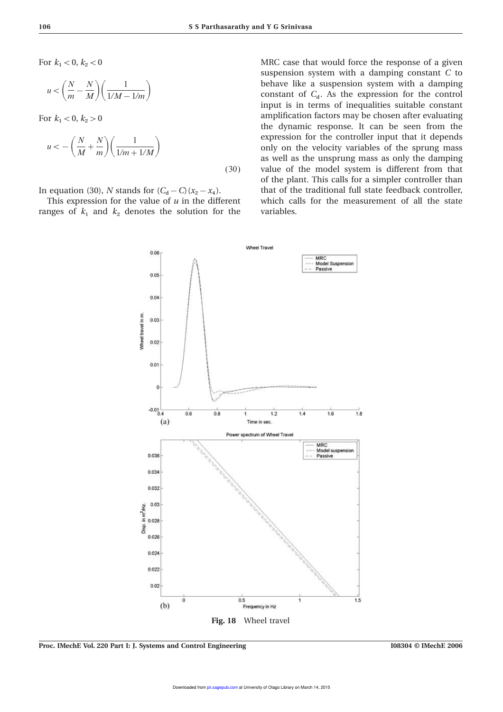For  $k_1 < 0, k_2$ 

$$
u < \left(\frac{N}{m} - \frac{N}{M}\right) \left(\frac{1}{1/M - 1/m}\right)
$$

 $k_1$  < 0,  $k_2$  > 0

$$
u < -\left(\frac{N}{M} + \frac{N}{m}\right) \left(\frac{1}{1/m + 1/M}\right)
$$
\n(30)

ranges of  $k_1$  and  $k_2$  denotes the solution for the variables.

MRC case that would force the response of a given suspension system with a damping constant *C* to behave like a suspension system with a damping  $\frac{1}{1/M-1/m}$  behave like a suspension system with a damping constant of *C*<sub>d</sub>. As the expression for the control input is in terms of inequalities suitable constant amplification factors may be chosen after evaluating the dynamic response. It can be seen from the expression for the controller input that it depends only on the velocity variables of the sprung mass as well as the unsprung mass as only the damping (30) value of the model system is different from that of the plant. This calls for a simpler controller than In equation (30), *N* stands for  $(C_d - C)(x_2 - x_4)$ . that of the traditional full state feedback controller, This expression for the value of  $u$  in the different which calls for the measurement of all the state



**Proc. IMechE Vol. 220 Part I: J. Systems and Control Engineering I08304 © IMechE 2006**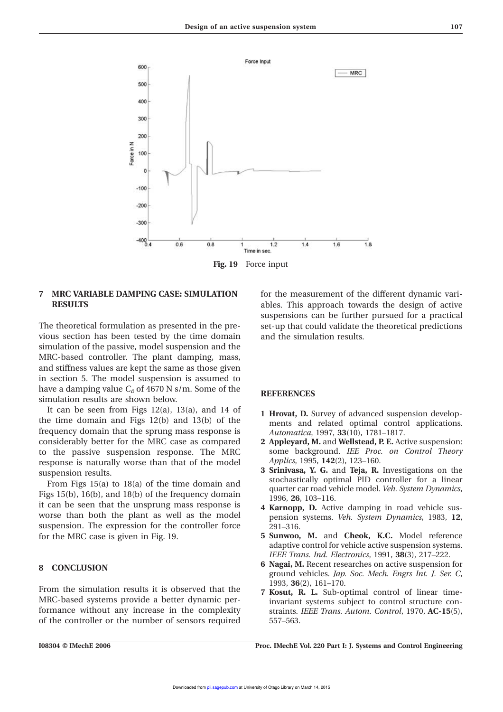

# **7 MRC VARIABLE DAMPING CASE: SIMULATION** for the measurement of the different dynamic vari-

vious section has been tested by the time domain and the simulation results. simulation of the passive, model suspension and the MRC-based controller. The plant damping, mass, and stiffness values are kept the same as those given in section 5. The model suspension is assumed to have a damping value *C*<sub>d</sub> of 4670 N s/m. Some of the **REFERENCES** simulation results are shown below.

It can be seen from Figs 12(a), 13(a), and 14 of **1 Hrovat, D.** Survey of advanced suspension develop-<br>the time domain and Figs 12(b) and 13(b) of the **1** Hrovat, and related ontimal control applications frequency domain that the sprung mass response is *Automatica*, 1997, **33**(10), 1781–1817. to the passive suspension response. The MRC some background. *IEE Proc. on Control Theory*<br>response is naturally worse than that of the model *Applics*, 1995, 142(2), 123–160. response is naturally worse than that of the model

Figs 15(b), 16(b), and 18(b) of the frequency domain<br>it can be seen that the unsprung mass response is  $\frac{1996}{\text{A}}$  **Karnoph D** Active worse than both the plant as well as the model pension systems. *Veh. System Dynamics*, 1983, 12, suspension. The expression for the controller force 291–316. for the MRC case is given in Fig. 19. **5 Sunwoo, M.** and **Cheok, K.C.** Model reference

From the simulation results it is observed that the **1993**, **36**(2), 161–170.<br>**7 Kosut, R. L.** Sub-optimal control of linear time-MRC-based systems provide a better dynamic per- invariant systems subject to control structure conformance without any increase in the complexity straints. *IEEE Trans. Autom. Control*, 1970, **AC-15**(5), of the controller or the number of sensors required 557–563.

**RESULTS** ables. This approach towards the design of active suspensions can be further pursued for a practical The theoretical formulation as presented in the pre- set-up that could validate the theoretical predictions

- ments and related optimal control applications.
- 2 Appleyard, M. and Wellstead, P. E. Active suspension:
- **3 Srinivasa, Y. G.** and **Teja, R.** Investigations on the stochastically optimal PID controller for a linear stochastically optimal PID controller for a linear From Figs 15(a) to 18(a) of the time domain and quarter car road vehicle model. *Veh. System Dynamics*,
	- 4 **Karnopp, D.** Active damping in road vehicle sus-
	- adaptive control for vehicle active suspension systems. *IEEE Trans. Ind. Electronics*, 1991, **38**(3), 217–222.
- **6 Nagai, M.** Recent researches on active suspension for **8 CONCLUSION** ground vehicles. *Jap. Soc. Mech. Engrs Int. J. Ser. C*,
	-